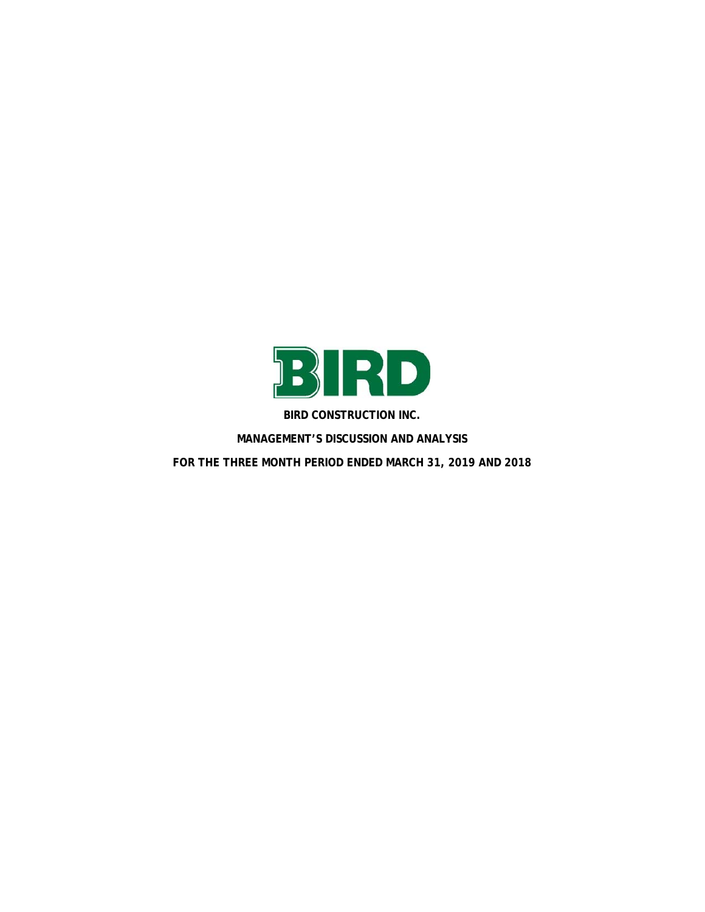

**BIRD CONSTRUCTION INC.** 

**MANAGEMENT'S DISCUSSION AND ANALYSIS FOR THE THREE MONTH PERIOD ENDED MARCH 31, 2019 AND 2018**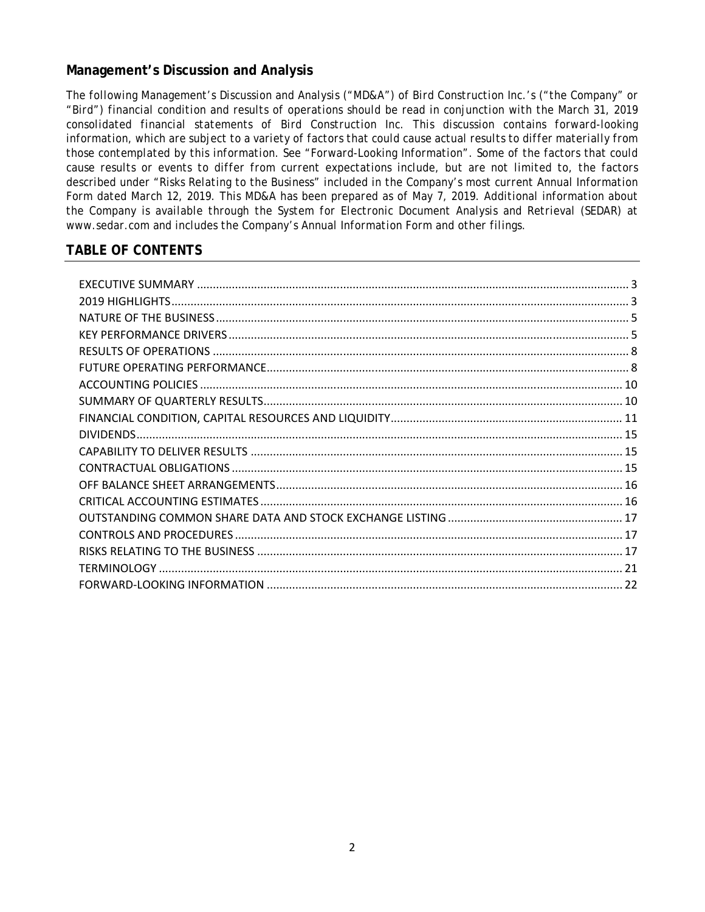# **Management's Discussion and Analysis**

*The following Management's Discussion and Analysis ("MD&A") of Bird Construction Inc.'s ("the Company" or "Bird") financial condition and results of operations should be read in conjunction with the March 31, 2019 consolidated financial statements of Bird Construction Inc. This discussion contains forward-looking information, which are subject to a variety of factors that could cause actual results to differ materially from those contemplated by this information. See "Forward-Looking Information". Some of the factors that could cause results or events to differ from current expectations include, but are not limited to, the factors described under "Risks Relating to the Business" included in the Company's most current Annual Information Form dated March 12, 2019. This MD&A has been prepared as of May 7, 2019. Additional information about the Company is available through the System for Electronic Document Analysis and Retrieval (SEDAR) at www.sedar.com and includes the Company's Annual Information Form and other filings.* 

# **TABLE OF CONTENTS**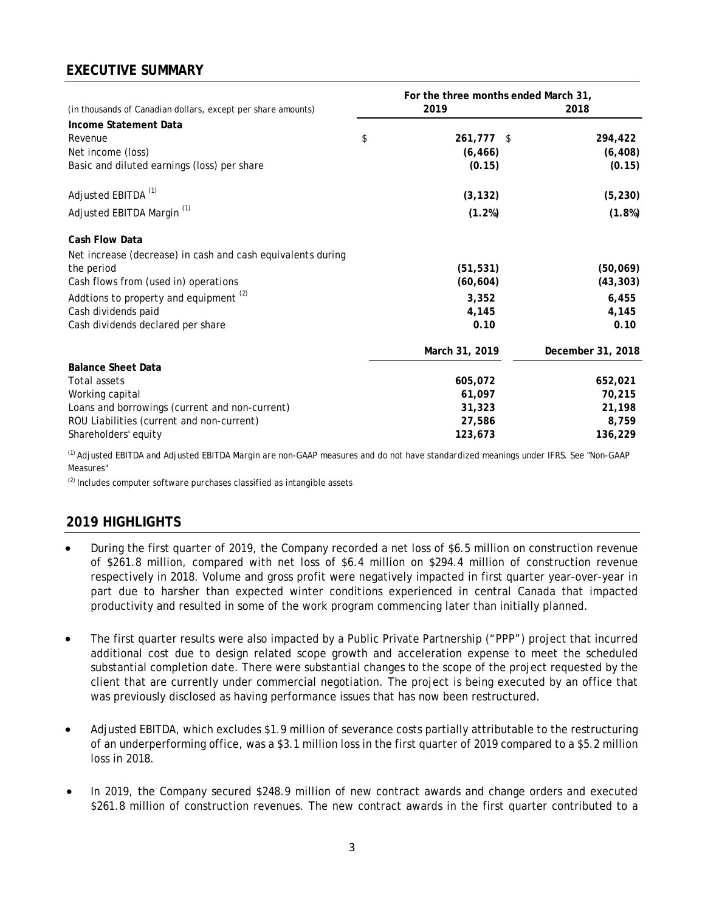# **EXECUTIVE SUMMARY**

|                                                              | For the three months ended March 31, |  |                   |  |  |  |
|--------------------------------------------------------------|--------------------------------------|--|-------------------|--|--|--|
| (in thousands of Canadian dollars, except per share amounts) | 2019                                 |  | 2018              |  |  |  |
| Income Statement Data                                        |                                      |  |                   |  |  |  |
| Revenue                                                      | \$<br>261,777 \$                     |  | 294,422           |  |  |  |
| Net income (loss)                                            | (6, 466)                             |  | (6, 408)          |  |  |  |
| Basic and diluted earnings (loss) per share                  | (0.15)                               |  | (0.15)            |  |  |  |
| Adjusted EBITDA <sup>(1)</sup>                               | (3, 132)                             |  | (5, 230)          |  |  |  |
| Adjusted EBITDA Margin <sup>(1)</sup>                        | (1.2%)                               |  | (1.8%)            |  |  |  |
| Cash Flow Data                                               |                                      |  |                   |  |  |  |
| Net increase (decrease) in cash and cash equivalents during  |                                      |  |                   |  |  |  |
| the period                                                   | (51, 531)                            |  | (50,069)          |  |  |  |
| Cash flows from (used in) operations                         | (60, 604)                            |  | (43, 303)         |  |  |  |
| Addtions to property and equipment <sup>(2)</sup>            | 3,352                                |  | 6,455             |  |  |  |
| Cash dividends paid                                          | 4,145                                |  | 4,145             |  |  |  |
| Cash dividends declared per share                            | 0.10                                 |  | 0.10              |  |  |  |
|                                                              | March 31, 2019                       |  | December 31, 2018 |  |  |  |
| <b>Balance Sheet Data</b>                                    |                                      |  |                   |  |  |  |
| <b>Total assets</b>                                          | 605,072                              |  | 652,021           |  |  |  |
| Working capital                                              | 61,097                               |  | 70,215            |  |  |  |
| Loans and borrowings (current and non-current)               | 31,323                               |  | 21,198            |  |  |  |
| ROU Liabilities (current and non-current)                    | 27,586                               |  | 8,759             |  |  |  |
| Shareholders' equity                                         | 123,673                              |  | 136,229           |  |  |  |

<sup>(1)</sup> Adjusted EBITDA and Adjusted EBITDA Margin are non-GAAP measures and do not have standardized meanings under IFRS. See "Non-GAAP Measures"

 $<sup>(2)</sup>$  Includes computer software purchases classified as intangible assets</sup>

# **2019 HIGHLIGHTS**

- During the first quarter of 2019, the Company recorded a net loss of \$6.5 million on construction revenue of \$261.8 million, compared with net loss of \$6.4 million on \$294.4 million of construction revenue respectively in 2018. Volume and gross profit were negatively impacted in first quarter year-over-year in part due to harsher than expected winter conditions experienced in central Canada that impacted productivity and resulted in some of the work program commencing later than initially planned.
- The first quarter results were also impacted by a Public Private Partnership ("PPP") project that incurred additional cost due to design related scope growth and acceleration expense to meet the scheduled substantial completion date. There were substantial changes to the scope of the project requested by the client that are currently under commercial negotiation. The project is being executed by an office that was previously disclosed as having performance issues that has now been restructured.
- Adjusted EBITDA, which excludes \$1.9 million of severance costs partially attributable to the restructuring of an underperforming office, was a \$3.1 million loss in the first quarter of 2019 compared to a \$5.2 million loss in 2018.
- In 2019, the Company secured \$248.9 million of new contract awards and change orders and executed \$261.8 million of construction revenues. The new contract awards in the first quarter contributed to a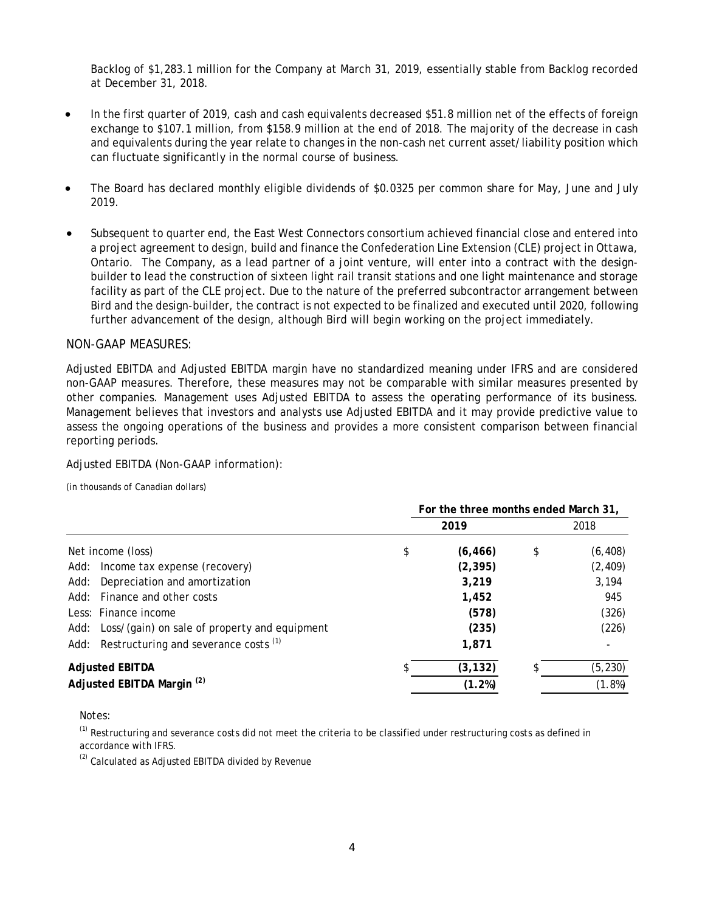Backlog of \$1,283.1 million for the Company at March 31, 2019, essentially stable from Backlog recorded at December 31, 2018.

- In the first quarter of 2019, cash and cash equivalents decreased \$51.8 million net of the effects of foreign exchange to \$107.1 million, from \$158.9 million at the end of 2018. The majority of the decrease in cash and equivalents during the year relate to changes in the non-cash net current asset/liability position which can fluctuate significantly in the normal course of business.
- The Board has declared monthly eligible dividends of \$0.0325 per common share for May, June and July 2019.
- Subsequent to quarter end, the East West Connectors consortium achieved financial close and entered into a project agreement to design, build and finance the Confederation Line Extension (CLE) project in Ottawa, Ontario. The Company, as a lead partner of a joint venture, will enter into a contract with the designbuilder to lead the construction of sixteen light rail transit stations and one light maintenance and storage facility as part of the CLE project. Due to the nature of the preferred subcontractor arrangement between Bird and the design-builder, the contract is not expected to be finalized and executed until 2020, following further advancement of the design, although Bird will begin working on the project immediately.

#### NON-GAAP MEASURES:

Adjusted EBITDA and Adjusted EBITDA margin have no standardized meaning under IFRS and are considered non-GAAP measures. Therefore, these measures may not be comparable with similar measures presented by other companies. Management uses Adjusted EBITDA to assess the operating performance of its business. Management believes that investors and analysts use Adjusted EBITDA and it may provide predictive value to assess the ongoing operations of the business and provides a more consistent comparison between financial reporting periods.

#### Adjusted EBITDA (Non-GAAP information):

(in thousands of Canadian dollars)

|                                                       |          | For the three months ended March 31, |
|-------------------------------------------------------|----------|--------------------------------------|
|                                                       | 2019     | 2018                                 |
| Net income (loss)<br>\$                               | (6, 466) | (6, 408)<br>\$                       |
| Income tax expense (recovery)<br>Add:                 | (2, 395) | (2, 409)                             |
| Depreciation and amortization<br>Add:                 | 3,219    | 3,194                                |
| Add: Finance and other costs                          | 1,452    | 945                                  |
| Less: Finance income                                  | (578)    | (326)                                |
| Add: Loss/(gain) on sale of property and equipment    | (235)    | (226)                                |
| Add: Restructuring and severance costs <sup>(1)</sup> | 1,871    |                                      |
| <b>Adjusted EBITDA</b>                                | (3, 132) | (5, 230)<br>\$                       |
| Adjusted EBITDA Margin <sup>(2)</sup>                 | (1.2%)   | (1.8%)                               |

Notes:

 $<sup>(1)</sup>$  Restructuring and severance costs did not meet the criteria to be classified under restructuring costs as defined in</sup> accordance with IFRS.

 $<sup>(2)</sup>$  Calculated as Adjusted EBITDA divided by Revenue</sup>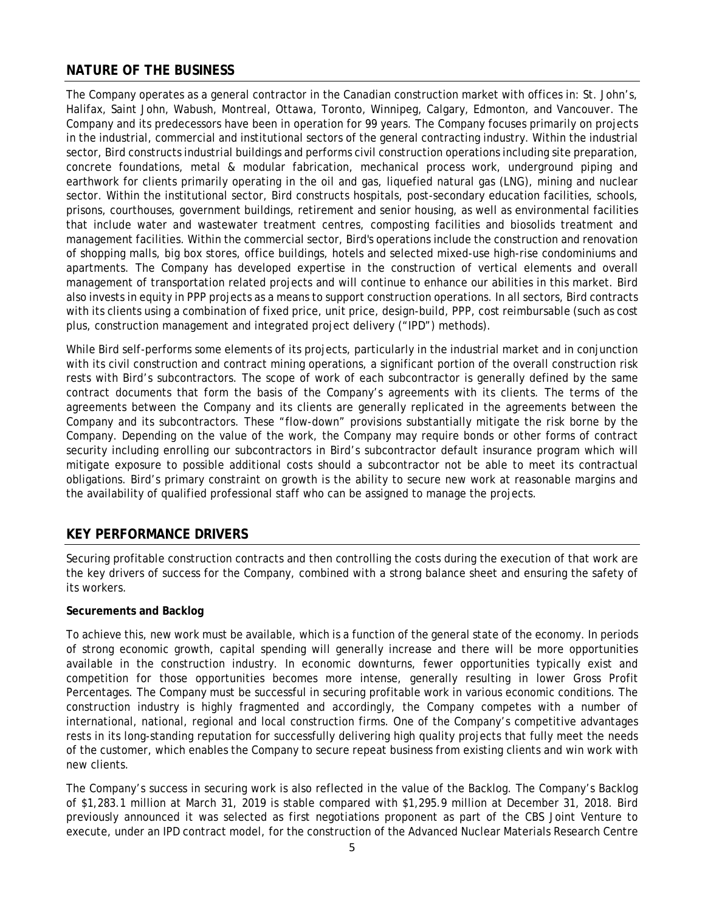# **NATURE OF THE BUSINESS**

The Company operates as a general contractor in the Canadian construction market with offices in: St. John's, Halifax, Saint John, Wabush, Montreal, Ottawa, Toronto, Winnipeg, Calgary, Edmonton, and Vancouver. The Company and its predecessors have been in operation for 99 years. The Company focuses primarily on projects in the industrial, commercial and institutional sectors of the general contracting industry. Within the industrial sector, Bird constructs industrial buildings and performs civil construction operations including site preparation, concrete foundations, metal & modular fabrication, mechanical process work, underground piping and earthwork for clients primarily operating in the oil and gas, liquefied natural gas (LNG), mining and nuclear sector. Within the institutional sector, Bird constructs hospitals, post-secondary education facilities, schools, prisons, courthouses, government buildings, retirement and senior housing, as well as environmental facilities that include water and wastewater treatment centres, composting facilities and biosolids treatment and management facilities. Within the commercial sector, Bird's operations include the construction and renovation of shopping malls, big box stores, office buildings, hotels and selected mixed-use high-rise condominiums and apartments. The Company has developed expertise in the construction of vertical elements and overall management of transportation related projects and will continue to enhance our abilities in this market. Bird also invests in equity in PPP projects as a means to support construction operations. In all sectors, Bird contracts with its clients using a combination of fixed price, unit price, design-build, PPP, cost reimbursable (such as cost plus, construction management and integrated project delivery ("IPD") methods).

While Bird self-performs some elements of its projects, particularly in the industrial market and in conjunction with its civil construction and contract mining operations, a significant portion of the overall construction risk rests with Bird's subcontractors. The scope of work of each subcontractor is generally defined by the same contract documents that form the basis of the Company's agreements with its clients. The terms of the agreements between the Company and its clients are generally replicated in the agreements between the Company and its subcontractors. These "flow-down" provisions substantially mitigate the risk borne by the Company. Depending on the value of the work, the Company may require bonds or other forms of contract security including enrolling our subcontractors in Bird's subcontractor default insurance program which will mitigate exposure to possible additional costs should a subcontractor not be able to meet its contractual obligations. Bird's primary constraint on growth is the ability to secure new work at reasonable margins and the availability of qualified professional staff who can be assigned to manage the projects.

# **KEY PERFORMANCE DRIVERS**

Securing profitable construction contracts and then controlling the costs during the execution of that work are the key drivers of success for the Company, combined with a strong balance sheet and ensuring the safety of its workers.

### **Securements and Backlog**

To achieve this, new work must be available, which is a function of the general state of the economy. In periods of strong economic growth, capital spending will generally increase and there will be more opportunities available in the construction industry. In economic downturns, fewer opportunities typically exist and competition for those opportunities becomes more intense, generally resulting in lower Gross Profit Percentages. The Company must be successful in securing profitable work in various economic conditions. The construction industry is highly fragmented and accordingly, the Company competes with a number of international, national, regional and local construction firms. One of the Company's competitive advantages rests in its long-standing reputation for successfully delivering high quality projects that fully meet the needs of the customer, which enables the Company to secure repeat business from existing clients and win work with new clients.

The Company's success in securing work is also reflected in the value of the Backlog. The Company's Backlog of \$1,283.1 million at March 31, 2019 is stable compared with \$1,295.9 million at December 31, 2018. Bird previously announced it was selected as first negotiations proponent as part of the CBS Joint Venture to execute, under an IPD contract model, for the construction of the Advanced Nuclear Materials Research Centre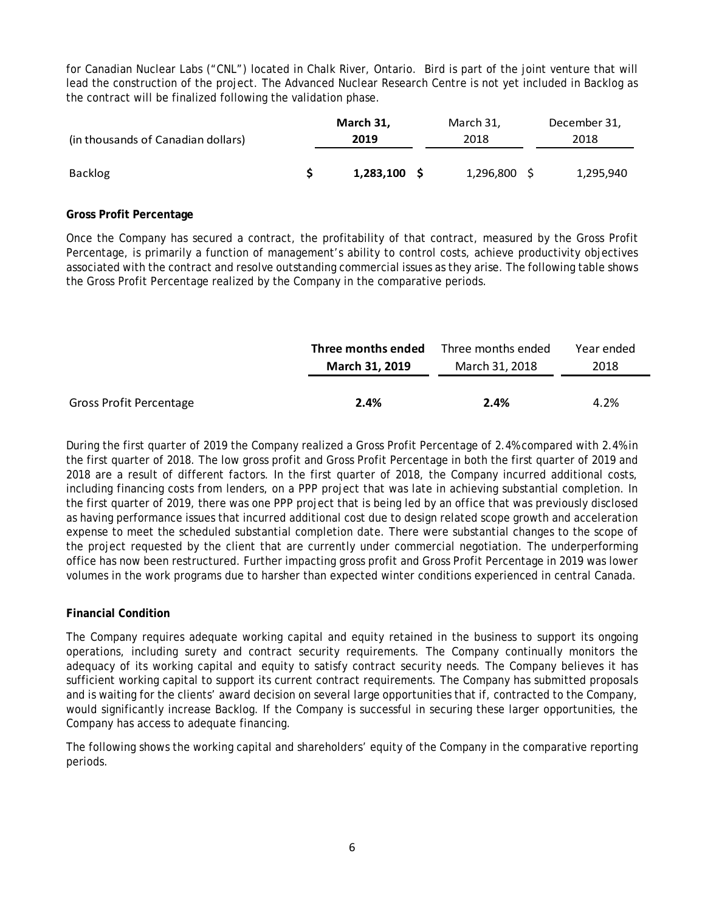for Canadian Nuclear Labs ("CNL") located in Chalk River, Ontario. Bird is part of the joint venture that will lead the construction of the project. The Advanced Nuclear Research Centre is not yet included in Backlog as the contract will be finalized following the validation phase.

| (in thousands of Canadian dollars) |  | March 31, | March 31, |           |  | December 31, |  |  |
|------------------------------------|--|-----------|-----------|-----------|--|--------------|--|--|
|                                    |  | 2019      | 2018      |           |  | 2018         |  |  |
| <b>Backlog</b>                     |  | 1,283,100 |           | 1,296,800 |  | 1,295,940    |  |  |

#### **Gross Profit Percentage**

Once the Company has secured a contract, the profitability of that contract, measured by the Gross Profit Percentage, is primarily a function of management's ability to control costs, achieve productivity objectives associated with the contract and resolve outstanding commercial issues as they arise. The following table shows the Gross Profit Percentage realized by the Company in the comparative periods.

|                                | Three months ended | Three months ended | Year ended |
|--------------------------------|--------------------|--------------------|------------|
|                                | March 31, 2019     | March 31, 2018     | 2018       |
|                                |                    |                    |            |
| <b>Gross Profit Percentage</b> | 2.4%               | 2.4%               | 4.2%       |

During the first quarter of 2019 the Company realized a Gross Profit Percentage of 2.4% compared with 2.4% in the first quarter of 2018. The low gross profit and Gross Profit Percentage in both the first quarter of 2019 and 2018 are a result of different factors. In the first quarter of 2018, the Company incurred additional costs, including financing costs from lenders, on a PPP project that was late in achieving substantial completion. In the first quarter of 2019, there was one PPP project that is being led by an office that was previously disclosed as having performance issues that incurred additional cost due to design related scope growth and acceleration expense to meet the scheduled substantial completion date. There were substantial changes to the scope of the project requested by the client that are currently under commercial negotiation. The underperforming office has now been restructured. Further impacting gross profit and Gross Profit Percentage in 2019 was lower volumes in the work programs due to harsher than expected winter conditions experienced in central Canada.

### **Financial Condition**

The Company requires adequate working capital and equity retained in the business to support its ongoing operations, including surety and contract security requirements. The Company continually monitors the adequacy of its working capital and equity to satisfy contract security needs. The Company believes it has sufficient working capital to support its current contract requirements. The Company has submitted proposals and is waiting for the clients' award decision on several large opportunities that if, contracted to the Company, would significantly increase Backlog. If the Company is successful in securing these larger opportunities, the Company has access to adequate financing.

The following shows the working capital and shareholders' equity of the Company in the comparative reporting periods.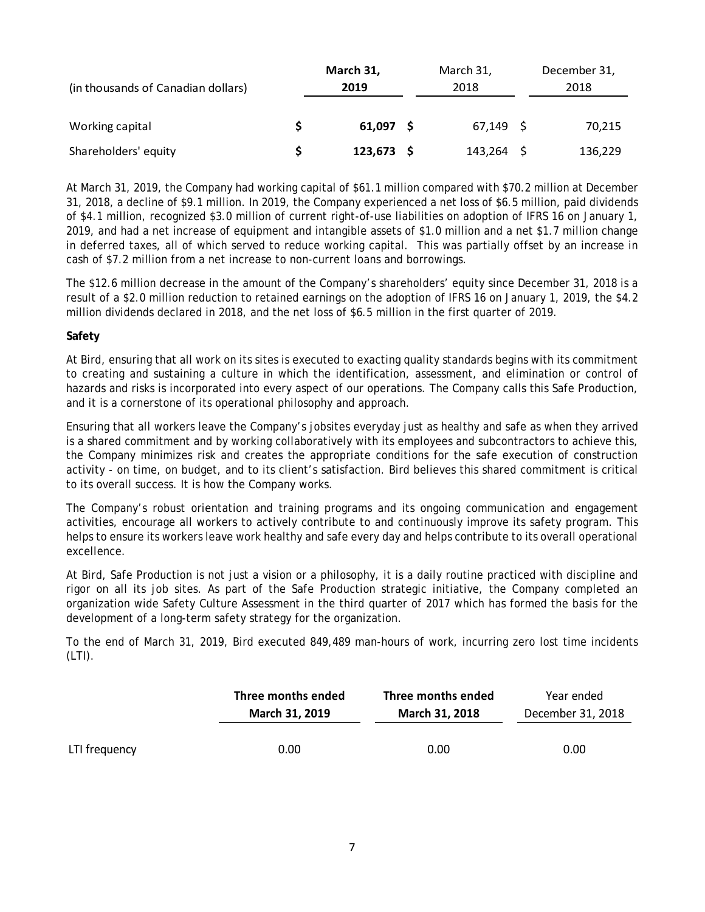| (in thousands of Canadian dollars) | March 31,<br>2019 | March 31,<br>2018 | December 31,<br>2018 |         |  |
|------------------------------------|-------------------|-------------------|----------------------|---------|--|
| Working capital                    | 61.097            | $67,149$ \$       |                      | 70,215  |  |
| Shareholders' equity               | $123,673$ \$      | $143,264$ \$      |                      | 136,229 |  |

At March 31, 2019, the Company had working capital of \$61.1 million compared with \$70.2 million at December 31, 2018, a decline of \$9.1 million. In 2019, the Company experienced a net loss of \$6.5 million, paid dividends of \$4.1 million, recognized \$3.0 million of current right-of-use liabilities on adoption of IFRS 16 on January 1, 2019, and had a net increase of equipment and intangible assets of \$1.0 million and a net \$1.7 million change in deferred taxes, all of which served to reduce working capital. This was partially offset by an increase in cash of \$7.2 million from a net increase to non-current loans and borrowings.

The \$12.6 million decrease in the amount of the Company's shareholders' equity since December 31, 2018 is a result of a \$2.0 million reduction to retained earnings on the adoption of IFRS 16 on January 1, 2019, the \$4.2 million dividends declared in 2018, and the net loss of \$6.5 million in the first quarter of 2019.

### **Safety**

At Bird, ensuring that all work on its sites is executed to exacting quality standards begins with its commitment to creating and sustaining a culture in which the identification, assessment, and elimination or control of hazards and risks is incorporated into every aspect of our operations. The Company calls this Safe Production, and it is a cornerstone of its operational philosophy and approach.

Ensuring that all workers leave the Company's jobsites everyday just as healthy and safe as when they arrived is a shared commitment and by working collaboratively with its employees and subcontractors to achieve this, the Company minimizes risk and creates the appropriate conditions for the safe execution of construction activity - on time, on budget, and to its client's satisfaction. Bird believes this shared commitment is critical to its overall success. It is how the Company works.

The Company's robust orientation and training programs and its ongoing communication and engagement activities, encourage all workers to actively contribute to and continuously improve its safety program. This helps to ensure its workers leave work healthy and safe every day and helps contribute to its overall operational excellence.

At Bird, Safe Production is not just a vision or a philosophy, it is a daily routine practiced with discipline and rigor on all its job sites. As part of the Safe Production strategic initiative, the Company completed an organization wide Safety Culture Assessment in the third quarter of 2017 which has formed the basis for the development of a long-term safety strategy for the organization.

To the end of March 31, 2019, Bird executed 849,489 man-hours of work, incurring zero lost time incidents  $(LTI)$ .

|               | Three months ended | Three months ended | Year ended        |  |  |
|---------------|--------------------|--------------------|-------------------|--|--|
|               | March 31, 2019     | March 31, 2018     | December 31, 2018 |  |  |
| LTI frequency | 0.00               | 0.00               | 0.00              |  |  |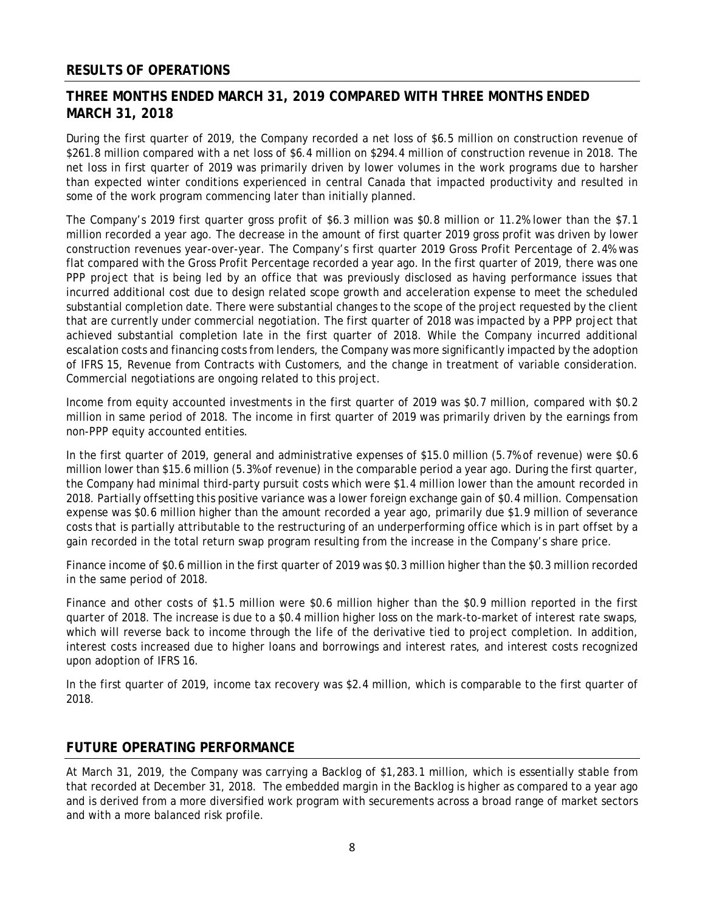## **RESULTS OF OPERATIONS**

# **THREE MONTHS ENDED MARCH 31, 2019 COMPARED WITH THREE MONTHS ENDED MARCH 31, 2018**

During the first quarter of 2019, the Company recorded a net loss of \$6.5 million on construction revenue of \$261.8 million compared with a net loss of \$6.4 million on \$294.4 million of construction revenue in 2018. The net loss in first quarter of 2019 was primarily driven by lower volumes in the work programs due to harsher than expected winter conditions experienced in central Canada that impacted productivity and resulted in some of the work program commencing later than initially planned.

The Company's 2019 first quarter gross profit of \$6.3 million was \$0.8 million or 11.2% lower than the \$7.1 million recorded a year ago. The decrease in the amount of first quarter 2019 gross profit was driven by lower construction revenues year-over-year. The Company's first quarter 2019 Gross Profit Percentage of 2.4% was flat compared with the Gross Profit Percentage recorded a year ago. In the first quarter of 2019, there was one PPP project that is being led by an office that was previously disclosed as having performance issues that incurred additional cost due to design related scope growth and acceleration expense to meet the scheduled substantial completion date. There were substantial changes to the scope of the project requested by the client that are currently under commercial negotiation. The first quarter of 2018 was impacted by a PPP project that achieved substantial completion late in the first quarter of 2018. While the Company incurred additional escalation costs and financing costs from lenders, the Company was more significantly impacted by the adoption of IFRS 15, Revenue from Contracts with Customers, and the change in treatment of variable consideration. Commercial negotiations are ongoing related to this project.

Income from equity accounted investments in the first quarter of 2019 was \$0.7 million, compared with \$0.2 million in same period of 2018. The income in first quarter of 2019 was primarily driven by the earnings from non-PPP equity accounted entities.

In the first quarter of 2019, general and administrative expenses of \$15.0 million (5.7% of revenue) were \$0.6 million lower than \$15.6 million (5.3% of revenue) in the comparable period a year ago. During the first quarter, the Company had minimal third-party pursuit costs which were \$1.4 million lower than the amount recorded in 2018. Partially offsetting this positive variance was a lower foreign exchange gain of \$0.4 million. Compensation expense was \$0.6 million higher than the amount recorded a year ago, primarily due \$1.9 million of severance costs that is partially attributable to the restructuring of an underperforming office which is in part offset by a gain recorded in the total return swap program resulting from the increase in the Company's share price.

Finance income of \$0.6 million in the first quarter of 2019 was \$0.3 million higher than the \$0.3 million recorded in the same period of 2018.

Finance and other costs of \$1.5 million were \$0.6 million higher than the \$0.9 million reported in the first quarter of 2018. The increase is due to a \$0.4 million higher loss on the mark-to-market of interest rate swaps, which will reverse back to income through the life of the derivative tied to project completion. In addition, interest costs increased due to higher loans and borrowings and interest rates, and interest costs recognized upon adoption of IFRS 16.

In the first quarter of 2019, income tax recovery was \$2.4 million, which is comparable to the first quarter of 2018.

## **FUTURE OPERATING PERFORMANCE**

At March 31, 2019, the Company was carrying a Backlog of \$1,283.1 million, which is essentially stable from that recorded at December 31, 2018. The embedded margin in the Backlog is higher as compared to a year ago and is derived from a more diversified work program with securements across a broad range of market sectors and with a more balanced risk profile.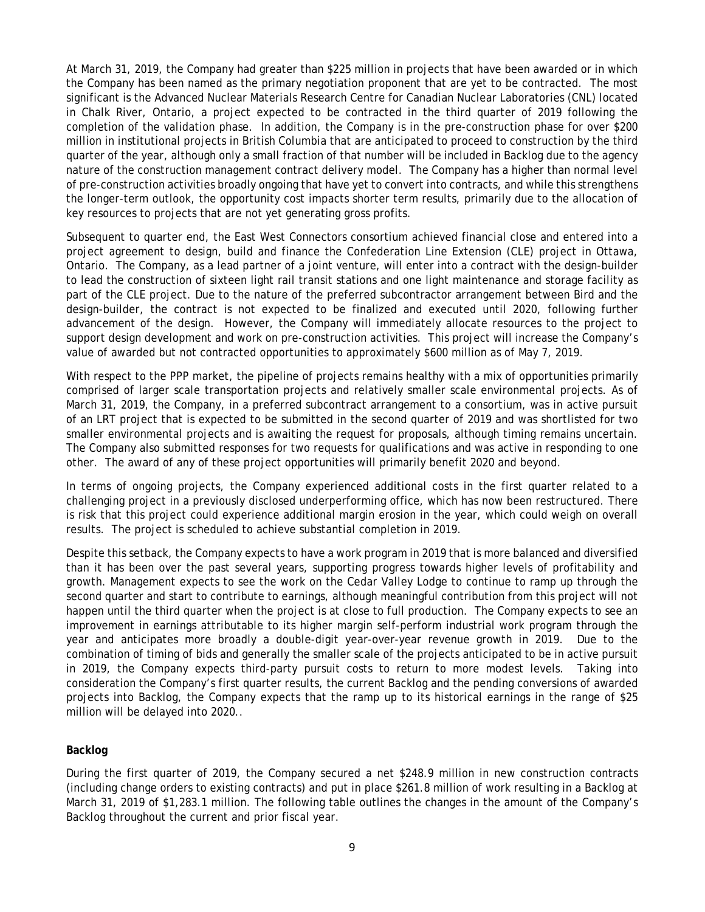At March 31, 2019, the Company had greater than \$225 million in projects that have been awarded or in which the Company has been named as the primary negotiation proponent that are yet to be contracted. The most significant is the Advanced Nuclear Materials Research Centre for Canadian Nuclear Laboratories (CNL) located in Chalk River, Ontario, a project expected to be contracted in the third quarter of 2019 following the completion of the validation phase. In addition, the Company is in the pre-construction phase for over \$200 million in institutional projects in British Columbia that are anticipated to proceed to construction by the third quarter of the year, although only a small fraction of that number will be included in Backlog due to the agency nature of the construction management contract delivery model. The Company has a higher than normal level of pre-construction activities broadly ongoing that have yet to convert into contracts, and while this strengthens the longer-term outlook, the opportunity cost impacts shorter term results, primarily due to the allocation of key resources to projects that are not yet generating gross profits.

Subsequent to quarter end, the East West Connectors consortium achieved financial close and entered into a project agreement to design, build and finance the Confederation Line Extension (CLE) project in Ottawa, Ontario. The Company, as a lead partner of a joint venture, will enter into a contract with the design-builder to lead the construction of sixteen light rail transit stations and one light maintenance and storage facility as part of the CLE project. Due to the nature of the preferred subcontractor arrangement between Bird and the design-builder, the contract is not expected to be finalized and executed until 2020, following further advancement of the design. However, the Company will immediately allocate resources to the project to support design development and work on pre-construction activities. This project will increase the Company's value of awarded but not contracted opportunities to approximately \$600 million as of May 7, 2019.

With respect to the PPP market, the pipeline of projects remains healthy with a mix of opportunities primarily comprised of larger scale transportation projects and relatively smaller scale environmental projects. As of March 31, 2019, the Company, in a preferred subcontract arrangement to a consortium, was in active pursuit of an LRT project that is expected to be submitted in the second quarter of 2019 and was shortlisted for two smaller environmental projects and is awaiting the request for proposals, although timing remains uncertain. The Company also submitted responses for two requests for qualifications and was active in responding to one other. The award of any of these project opportunities will primarily benefit 2020 and beyond.

In terms of ongoing projects, the Company experienced additional costs in the first quarter related to a challenging project in a previously disclosed underperforming office, which has now been restructured. There is risk that this project could experience additional margin erosion in the year, which could weigh on overall results. The project is scheduled to achieve substantial completion in 2019.

Despite this setback, the Company expects to have a work program in 2019 that is more balanced and diversified than it has been over the past several years, supporting progress towards higher levels of profitability and growth. Management expects to see the work on the Cedar Valley Lodge to continue to ramp up through the second quarter and start to contribute to earnings, although meaningful contribution from this project will not happen until the third quarter when the project is at close to full production. The Company expects to see an improvement in earnings attributable to its higher margin self-perform industrial work program through the year and anticipates more broadly a double-digit year-over-year revenue growth in 2019. Due to the combination of timing of bids and generally the smaller scale of the projects anticipated to be in active pursuit in 2019, the Company expects third-party pursuit costs to return to more modest levels. Taking into consideration the Company's first quarter results, the current Backlog and the pending conversions of awarded projects into Backlog, the Company expects that the ramp up to its historical earnings in the range of \$25 million will be delayed into 2020..

### **Backlog**

During the first quarter of 2019, the Company secured a net \$248.9 million in new construction contracts (including change orders to existing contracts) and put in place \$261.8 million of work resulting in a Backlog at March 31, 2019 of \$1,283.1 million. The following table outlines the changes in the amount of the Company's Backlog throughout the current and prior fiscal year.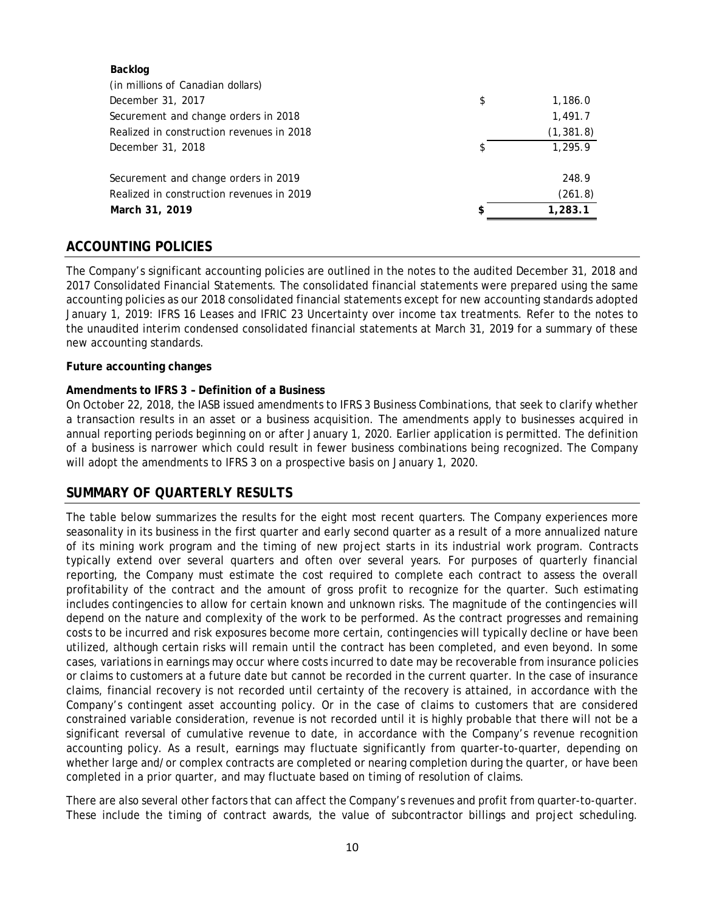| Backlog                                   |    |            |
|-------------------------------------------|----|------------|
| (in millions of Canadian dollars)         |    |            |
| December 31, 2017                         | \$ | 1,186.0    |
| Securement and change orders in 2018      |    | 1,491.7    |
| Realized in construction revenues in 2018 |    | (1, 381.8) |
| December 31, 2018                         | S  | 1,295.9    |
| Securement and change orders in 2019      |    | 248.9      |
| Realized in construction revenues in 2019 |    | (261.8)    |
| March 31, 2019                            | ፍ  | 1,283.1    |
|                                           |    |            |

## **ACCOUNTING POLICIES**

The Company's significant accounting policies are outlined in the notes to the audited December 31, 2018 and 2017 Consolidated Financial Statements. The consolidated financial statements were prepared using the same accounting policies as our 2018 consolidated financial statements except for new accounting standards adopted January 1, 2019: IFRS 16 Leases and IFRIC 23 Uncertainty over income tax treatments. Refer to the notes to the unaudited interim condensed consolidated financial statements at March 31, 2019 for a summary of these new accounting standards.

#### **Future accounting changes**

#### **Amendments to IFRS 3 – Definition of a Business**

On October 22, 2018, the IASB issued amendments to IFRS 3 Business Combinations, that seek to clarify whether a transaction results in an asset or a business acquisition. The amendments apply to businesses acquired in annual reporting periods beginning on or after January 1, 2020. Earlier application is permitted. The definition of a business is narrower which could result in fewer business combinations being recognized. The Company will adopt the amendments to IFRS 3 on a prospective basis on January 1, 2020.

#### **SUMMARY OF QUARTERLY RESULTS**

The table below summarizes the results for the eight most recent quarters. The Company experiences more seasonality in its business in the first quarter and early second quarter as a result of a more annualized nature of its mining work program and the timing of new project starts in its industrial work program. Contracts typically extend over several quarters and often over several years. For purposes of quarterly financial reporting, the Company must estimate the cost required to complete each contract to assess the overall profitability of the contract and the amount of gross profit to recognize for the quarter. Such estimating includes contingencies to allow for certain known and unknown risks. The magnitude of the contingencies will depend on the nature and complexity of the work to be performed. As the contract progresses and remaining costs to be incurred and risk exposures become more certain, contingencies will typically decline or have been utilized, although certain risks will remain until the contract has been completed, and even beyond. In some cases, variations in earnings may occur where costs incurred to date may be recoverable from insurance policies or claims to customers at a future date but cannot be recorded in the current quarter. In the case of insurance claims, financial recovery is not recorded until certainty of the recovery is attained, in accordance with the Company's contingent asset accounting policy. Or in the case of claims to customers that are considered constrained variable consideration, revenue is not recorded until it is highly probable that there will not be a significant reversal of cumulative revenue to date, in accordance with the Company's revenue recognition accounting policy. As a result, earnings may fluctuate significantly from quarter-to-quarter, depending on whether large and/or complex contracts are completed or nearing completion during the quarter, or have been completed in a prior quarter, and may fluctuate based on timing of resolution of claims.

There are also several other factors that can affect the Company's revenues and profit from quarter-to-quarter. These include the timing of contract awards, the value of subcontractor billings and project scheduling.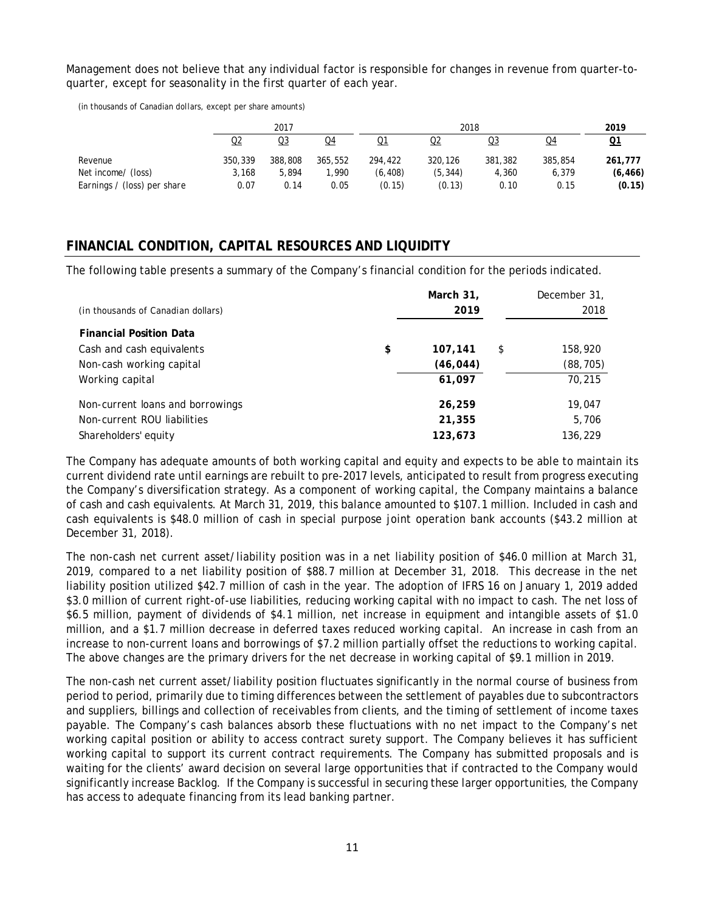Management does not believe that any individual factor is responsible for changes in revenue from quarter-toquarter, except for seasonality in the first quarter of each year.

(in thousands of Canadian dollars, except per share amounts)

|                             |         | 2017    |         |          |          | 2019    |         |          |
|-----------------------------|---------|---------|---------|----------|----------|---------|---------|----------|
|                             | Q2      | Q3      | Q4      | Q1       | Q2       | Q3      | Q4      | Q1       |
| Revenue                     | 350,339 | 388,808 | 365,552 | 294,422  | 320,126  | 381,382 | 385,854 | 261,777  |
| Net income/ (loss)          | 3.168   | 5,894   | .990    | (6, 408) | (5, 344) | 4,360   | 6,379   | (6, 466) |
| Earnings / (loss) per share | 0.07    | 0.14    | 0.05    | (0.15)   | (0.13)   | 0.10    | 0.15    | (0.15)   |

# **FINANCIAL CONDITION, CAPITAL RESOURCES AND LIQUIDITY**

The following table presents a summary of the Company's financial condition for the periods indicated.

| (in thousands of Canadian dollars) | March 31,<br>2019 | December 31,<br>2018 |
|------------------------------------|-------------------|----------------------|
| <b>Financial Position Data</b>     |                   |                      |
| Cash and cash equivalents          | \$<br>107,141     | \$<br>158,920        |
| Non-cash working capital           | (46, 044)         | (88, 705)            |
| Working capital                    | 61.097            | 70,215               |
| Non-current loans and borrowings   | 26,259            | 19,047               |
| Non-current ROU liabilities        | 21,355            | 5,706                |
| Shareholders' equity               | 123,673           | 136,229              |

The Company has adequate amounts of both working capital and equity and expects to be able to maintain its current dividend rate until earnings are rebuilt to pre-2017 levels, anticipated to result from progress executing the Company's diversification strategy. As a component of working capital, the Company maintains a balance of cash and cash equivalents. At March 31, 2019, this balance amounted to \$107.1 million. Included in cash and cash equivalents is \$48.0 million of cash in special purpose joint operation bank accounts (\$43.2 million at December 31, 2018).

The non-cash net current asset/liability position was in a net liability position of \$46.0 million at March 31, 2019, compared to a net liability position of \$88.7 million at December 31, 2018. This decrease in the net liability position utilized \$42.7 million of cash in the year. The adoption of IFRS 16 on January 1, 2019 added \$3.0 million of current right-of-use liabilities, reducing working capital with no impact to cash. The net loss of \$6.5 million, payment of dividends of \$4.1 million, net increase in equipment and intangible assets of \$1.0 million, and a \$1.7 million decrease in deferred taxes reduced working capital. An increase in cash from an increase to non-current loans and borrowings of \$7.2 million partially offset the reductions to working capital. The above changes are the primary drivers for the net decrease in working capital of \$9.1 million in 2019.

The non-cash net current asset/liability position fluctuates significantly in the normal course of business from period to period, primarily due to timing differences between the settlement of payables due to subcontractors and suppliers, billings and collection of receivables from clients, and the timing of settlement of income taxes payable. The Company's cash balances absorb these fluctuations with no net impact to the Company's net working capital position or ability to access contract surety support. The Company believes it has sufficient working capital to support its current contract requirements. The Company has submitted proposals and is waiting for the clients' award decision on several large opportunities that if contracted to the Company would significantly increase Backlog. If the Company is successful in securing these larger opportunities, the Company has access to adequate financing from its lead banking partner.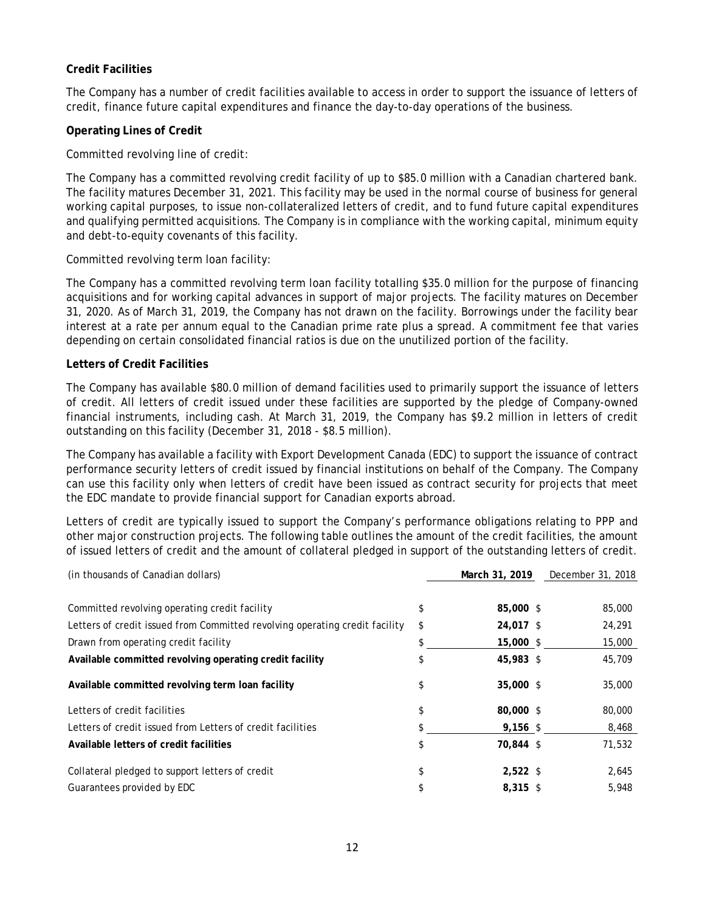### **Credit Facilities**

The Company has a number of credit facilities available to access in order to support the issuance of letters of credit, finance future capital expenditures and finance the day-to-day operations of the business.

### **Operating Lines of Credit**

Committed revolving line of credit:

The Company has a committed revolving credit facility of up to \$85.0 million with a Canadian chartered bank. The facility matures December 31, 2021. This facility may be used in the normal course of business for general working capital purposes, to issue non-collateralized letters of credit, and to fund future capital expenditures and qualifying permitted acquisitions. The Company is in compliance with the working capital, minimum equity and debt-to-equity covenants of this facility.

Committed revolving term loan facility:

The Company has a committed revolving term loan facility totalling \$35.0 million for the purpose of financing acquisitions and for working capital advances in support of major projects. The facility matures on December 31, 2020. As of March 31, 2019, the Company has not drawn on the facility. Borrowings under the facility bear interest at a rate per annum equal to the Canadian prime rate plus a spread. A commitment fee that varies depending on certain consolidated financial ratios is due on the unutilized portion of the facility.

### **Letters of Credit Facilities**

The Company has available \$80.0 million of demand facilities used to primarily support the issuance of letters of credit. All letters of credit issued under these facilities are supported by the pledge of Company-owned financial instruments, including cash. At March 31, 2019, the Company has \$9.2 million in letters of credit outstanding on this facility (December 31, 2018 - \$8.5 million).

The Company has available a facility with Export Development Canada (EDC) to support the issuance of contract performance security letters of credit issued by financial institutions on behalf of the Company. The Company can use this facility only when letters of credit have been issued as contract security for projects that meet the EDC mandate to provide financial support for Canadian exports abroad.

Letters of credit are typically issued to support the Company's performance obligations relating to PPP and other major construction projects. The following table outlines the amount of the credit facilities, the amount of issued letters of credit and the amount of collateral pledged in support of the outstanding letters of credit.

| (in thousands of Canadian dollars)                                          | March 31, 2019   | December 31, 2018 |
|-----------------------------------------------------------------------------|------------------|-------------------|
| Committed revolving operating credit facility                               | \$<br>85,000 \$  | 85,000            |
| Letters of credit issued from Committed revolving operating credit facility | \$<br>24,017 \$  | 24,291            |
| Drawn from operating credit facility                                        | \$<br>15,000 \$  | 15,000            |
| Available committed revolving operating credit facility                     | \$<br>45,983 \$  | 45,709            |
| Available committed revolving term loan facility                            | \$<br>35,000 \$  | 35,000            |
| Letters of credit facilities                                                | \$<br>80,000 \$  | 80,000            |
| Letters of credit issued from Letters of credit facilities                  | \$<br>$9,156$ \$ | 8,468             |
| Available letters of credit facilities                                      | \$<br>70,844 \$  | 71,532            |
| Collateral pledged to support letters of credit                             | \$<br>$2,522$ \$ | 2,645             |
| Guarantees provided by EDC                                                  | \$<br>$8.315$ \$ | 5,948             |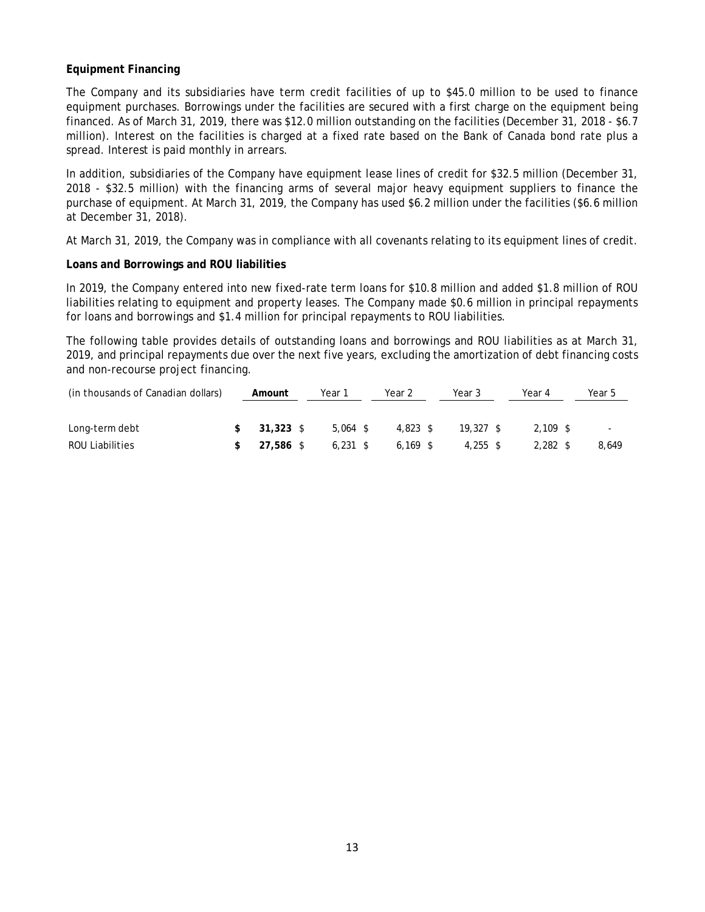### **Equipment Financing**

The Company and its subsidiaries have term credit facilities of up to \$45.0 million to be used to finance equipment purchases. Borrowings under the facilities are secured with a first charge on the equipment being financed. As of March 31, 2019, there was \$12.0 million outstanding on the facilities (December 31, 2018 - \$6.7 million). Interest on the facilities is charged at a fixed rate based on the Bank of Canada bond rate plus a spread. Interest is paid monthly in arrears.

In addition, subsidiaries of the Company have equipment lease lines of credit for \$32.5 million (December 31, 2018 - \$32.5 million) with the financing arms of several major heavy equipment suppliers to finance the purchase of equipment. At March 31, 2019, the Company has used \$6.2 million under the facilities (\$6.6 million at December 31, 2018).

At March 31, 2019, the Company was in compliance with all covenants relating to its equipment lines of credit.

### **Loans and Borrowings and ROU liabilities**

In 2019, the Company entered into new fixed-rate term loans for \$10.8 million and added \$1.8 million of ROU liabilities relating to equipment and property leases. The Company made \$0.6 million in principal repayments for loans and borrowings and \$1.4 million for principal repayments to ROU liabilities.

The following table provides details of outstanding loans and borrowings and ROU liabilities as at March 31, 2019, and principal repayments due over the next five years, excluding the amortization of debt financing costs and non-recourse project financing.

| (in thousands of Canadian dollars) | Amount    |  | Year 1     |  | Year 2     |  | Year 3      |  | Year 4     |  | Year 5                   |
|------------------------------------|-----------|--|------------|--|------------|--|-------------|--|------------|--|--------------------------|
|                                    |           |  |            |  |            |  |             |  |            |  |                          |
| Long-term debt                     | 31.323 \$ |  | $5.064$ \$ |  | $4.823$ \$ |  | $19.327$ \$ |  | $2.109$ \$ |  | $\overline{\phantom{a}}$ |
| ROU Liabilities                    | 27.586 \$ |  | $6.231$ \$ |  | $6.169$ \$ |  | $4.255$ \$  |  | $2.282$ \$ |  | 8.649                    |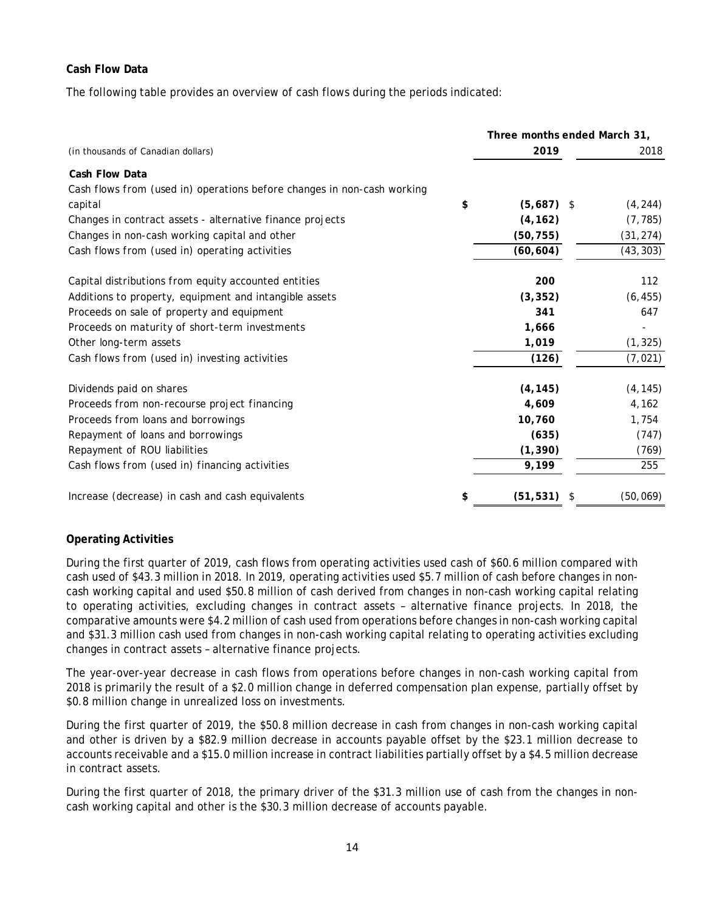### **Cash Flow Data**

The following table provides an overview of cash flows during the periods indicated:

|                                                                         |              | Three months ended March 31, |  |  |
|-------------------------------------------------------------------------|--------------|------------------------------|--|--|
| (in thousands of Canadian dollars)                                      | 2019         | 2018                         |  |  |
| Cash Flow Data                                                          |              |                              |  |  |
| Cash flows from (used in) operations before changes in non-cash working |              |                              |  |  |
| \$<br>capital                                                           | $(5,687)$ \$ | (4, 244)                     |  |  |
| Changes in contract assets - alternative finance projects               | (4, 162)     | (7, 785)                     |  |  |
| Changes in non-cash working capital and other                           | (50, 755)    | (31, 274)                    |  |  |
| Cash flows from (used in) operating activities                          | (60, 604)    | (43, 303)                    |  |  |
| Capital distributions from equity accounted entities                    | 200          | 112                          |  |  |
| Additions to property, equipment and intangible assets                  | (3, 352)     | (6, 455)                     |  |  |
| Proceeds on sale of property and equipment                              | 341          | 647                          |  |  |
| Proceeds on maturity of short-term investments                          | 1,666        |                              |  |  |
| Other long-term assets                                                  | 1,019        | (1, 325)                     |  |  |
| Cash flows from (used in) investing activities                          | (126)        | (7, 021)                     |  |  |
| Dividends paid on shares                                                | (4, 145)     | (4, 145)                     |  |  |
| Proceeds from non-recourse project financing                            | 4,609        | 4,162                        |  |  |
| Proceeds from loans and borrowings                                      | 10,760       | 1,754                        |  |  |
| Repayment of loans and borrowings                                       | (635)        | (747)                        |  |  |
| Repayment of ROU liabilities                                            | (1, 390)     | (769)                        |  |  |
| Cash flows from (used in) financing activities                          | 9,199        | 255                          |  |  |
| Increase (decrease) in cash and cash equivalents<br>\$                  | (51, 531)    | (50, 069)<br>S               |  |  |

## **Operating Activities**

During the first quarter of 2019, cash flows from operating activities used cash of \$60.6 million compared with cash used of \$43.3 million in 2018. In 2019, operating activities used \$5.7 million of cash before changes in noncash working capital and used \$50.8 million of cash derived from changes in non-cash working capital relating to operating activities, excluding changes in contract assets – alternative finance projects. In 2018, the comparative amounts were \$4.2 million of cash used from operations before changes in non-cash working capital and \$31.3 million cash used from changes in non-cash working capital relating to operating activities excluding changes in contract assets – alternative finance projects.

The year-over-year decrease in cash flows from operations before changes in non-cash working capital from 2018 is primarily the result of a \$2.0 million change in deferred compensation plan expense, partially offset by \$0.8 million change in unrealized loss on investments.

During the first quarter of 2019, the \$50.8 million decrease in cash from changes in non-cash working capital and other is driven by a \$82.9 million decrease in accounts payable offset by the \$23.1 million decrease to accounts receivable and a \$15.0 million increase in contract liabilities partially offset by a \$4.5 million decrease in contract assets.

During the first quarter of 2018, the primary driver of the \$31.3 million use of cash from the changes in noncash working capital and other is the \$30.3 million decrease of accounts payable.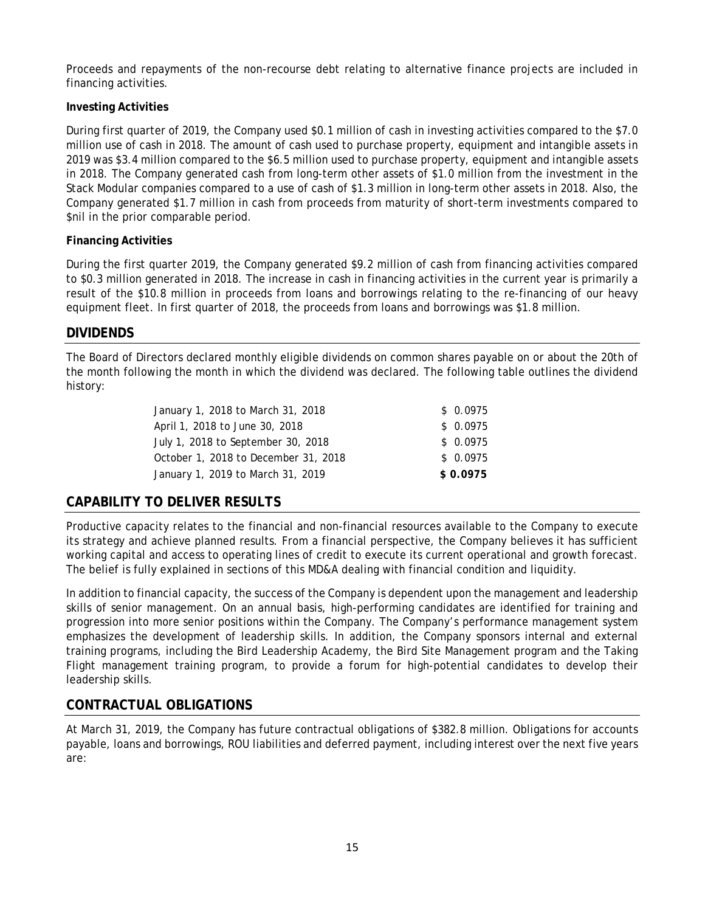Proceeds and repayments of the non-recourse debt relating to alternative finance projects are included in financing activities.

## **Investing Activities**

During first quarter of 2019, the Company used \$0.1 million of cash in investing activities compared to the \$7.0 million use of cash in 2018. The amount of cash used to purchase property, equipment and intangible assets in 2019 was \$3.4 million compared to the \$6.5 million used to purchase property, equipment and intangible assets in 2018. The Company generated cash from long-term other assets of \$1.0 million from the investment in the Stack Modular companies compared to a use of cash of \$1.3 million in long-term other assets in 2018. Also, the Company generated \$1.7 million in cash from proceeds from maturity of short-term investments compared to \$nil in the prior comparable period.

### **Financing Activities**

During the first quarter 2019, the Company generated \$9.2 million of cash from financing activities compared to \$0.3 million generated in 2018. The increase in cash in financing activities in the current year is primarily a result of the \$10.8 million in proceeds from loans and borrowings relating to the re-financing of our heavy equipment fleet. In first quarter of 2018, the proceeds from loans and borrowings was \$1.8 million.

# **DIVIDENDS**

The Board of Directors declared monthly eligible dividends on common shares payable on or about the 20th of the month following the month in which the dividend was declared. The following table outlines the dividend history:

| January 1, 2018 to March 31, 2018    | \$0.0975 |
|--------------------------------------|----------|
| April 1, 2018 to June 30, 2018       | \$0.0975 |
| July 1, 2018 to September 30, 2018   | \$0.0975 |
| October 1, 2018 to December 31, 2018 | \$0.0975 |
| January 1, 2019 to March 31, 2019    | \$0.0975 |

# **CAPABILITY TO DELIVER RESULTS**

Productive capacity relates to the financial and non-financial resources available to the Company to execute its strategy and achieve planned results. From a financial perspective, the Company believes it has sufficient working capital and access to operating lines of credit to execute its current operational and growth forecast. The belief is fully explained in sections of this MD&A dealing with financial condition and liquidity.

In addition to financial capacity, the success of the Company is dependent upon the management and leadership skills of senior management. On an annual basis, high-performing candidates are identified for training and progression into more senior positions within the Company. The Company's performance management system emphasizes the development of leadership skills. In addition, the Company sponsors internal and external training programs, including the Bird Leadership Academy, the Bird Site Management program and the Taking Flight management training program, to provide a forum for high-potential candidates to develop their leadership skills.

# **CONTRACTUAL OBLIGATIONS**

At March 31, 2019, the Company has future contractual obligations of \$382.8 million. Obligations for accounts payable, loans and borrowings, ROU liabilities and deferred payment, including interest over the next five years are: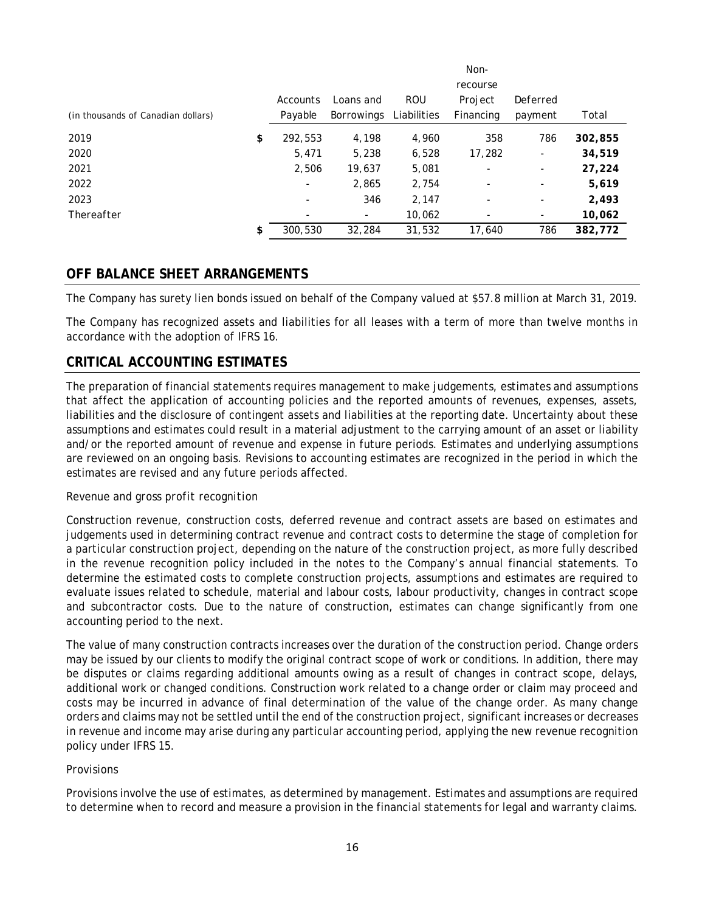|                                    |                          |                          |             | Non-      |                          |         |
|------------------------------------|--------------------------|--------------------------|-------------|-----------|--------------------------|---------|
|                                    |                          |                          |             | recourse  |                          |         |
|                                    | Accounts                 | Loans and                | <b>ROU</b>  | Project   | Deferred                 |         |
| (in thousands of Canadian dollars) | Payable                  | <b>Borrowings</b>        | Liabilities | Financing | payment                  | Total   |
| 2019                               | \$<br>292,553            | 4,198                    | 4,960       | 358       | 786                      | 302,855 |
| 2020                               | 5,471                    | 5,238                    | 6,528       | 17,282    | ۰                        | 34,519  |
| 2021                               | 2,506                    | 19,637                   | 5,081       | ۰         | ۰                        | 27,224  |
| 2022                               | $\overline{\phantom{a}}$ | 2,865                    | 2,754       | ۰         | $\overline{\phantom{a}}$ | 5,619   |
| 2023                               | ۰                        | 346                      | 2,147       | ۰         | $\overline{\phantom{a}}$ | 2,493   |
| Thereafter                         | ۰                        | $\overline{\phantom{0}}$ | 10,062      | ٠         | ۰                        | 10,062  |
|                                    | \$<br>300,530            | 32,284                   | 31,532      | 17.640    | 786                      | 382,772 |

## **OFF BALANCE SHEET ARRANGEMENTS**

The Company has surety lien bonds issued on behalf of the Company valued at \$57.8 million at March 31, 2019.

The Company has recognized assets and liabilities for all leases with a term of more than twelve months in accordance with the adoption of IFRS 16.

## **CRITICAL ACCOUNTING ESTIMATES**

The preparation of financial statements requires management to make judgements, estimates and assumptions that affect the application of accounting policies and the reported amounts of revenues, expenses, assets, liabilities and the disclosure of contingent assets and liabilities at the reporting date. Uncertainty about these assumptions and estimates could result in a material adjustment to the carrying amount of an asset or liability and/or the reported amount of revenue and expense in future periods. Estimates and underlying assumptions are reviewed on an ongoing basis. Revisions to accounting estimates are recognized in the period in which the estimates are revised and any future periods affected.

#### *Revenue and gross profit recognition*

Construction revenue, construction costs, deferred revenue and contract assets are based on estimates and judgements used in determining contract revenue and contract costs to determine the stage of completion for a particular construction project, depending on the nature of the construction project, as more fully described in the revenue recognition policy included in the notes to the Company's annual financial statements. To determine the estimated costs to complete construction projects, assumptions and estimates are required to evaluate issues related to schedule, material and labour costs, labour productivity, changes in contract scope and subcontractor costs. Due to the nature of construction, estimates can change significantly from one accounting period to the next.

The value of many construction contracts increases over the duration of the construction period. Change orders may be issued by our clients to modify the original contract scope of work or conditions. In addition, there may be disputes or claims regarding additional amounts owing as a result of changes in contract scope, delays, additional work or changed conditions. Construction work related to a change order or claim may proceed and costs may be incurred in advance of final determination of the value of the change order. As many change orders and claims may not be settled until the end of the construction project, significant increases or decreases in revenue and income may arise during any particular accounting period, applying the new revenue recognition policy under IFRS 15.

#### *Provisions*

Provisions involve the use of estimates, as determined by management. Estimates and assumptions are required to determine when to record and measure a provision in the financial statements for legal and warranty claims.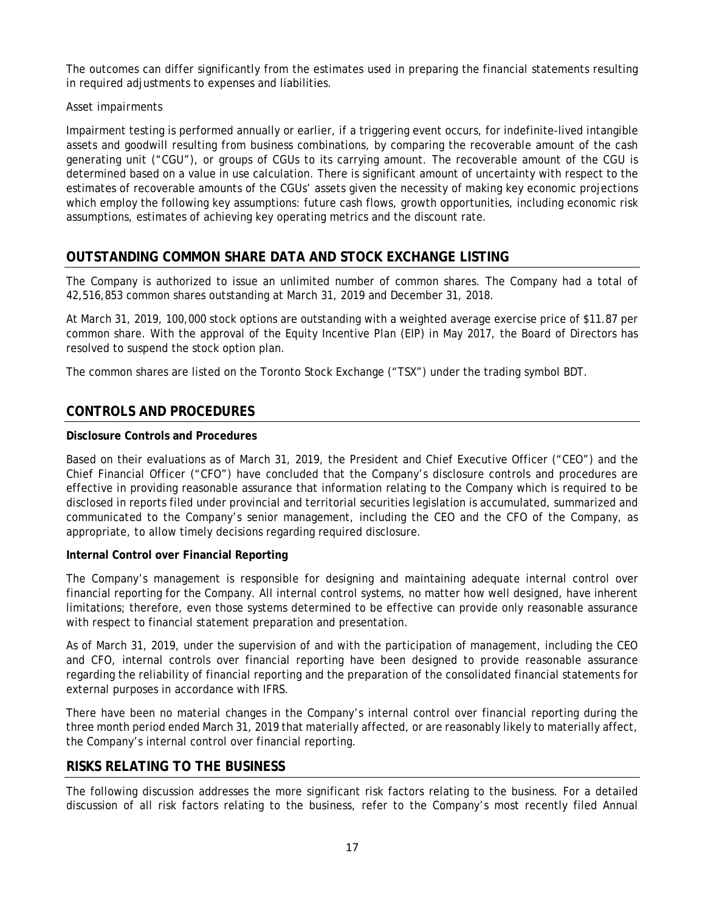The outcomes can differ significantly from the estimates used in preparing the financial statements resulting in required adjustments to expenses and liabilities.

## *Asset impairments*

Impairment testing is performed annually or earlier, if a triggering event occurs, for indefinite-lived intangible assets and goodwill resulting from business combinations, by comparing the recoverable amount of the cash generating unit ("CGU"), or groups of CGUs to its carrying amount. The recoverable amount of the CGU is determined based on a value in use calculation. There is significant amount of uncertainty with respect to the estimates of recoverable amounts of the CGUs' assets given the necessity of making key economic projections which employ the following key assumptions: future cash flows, growth opportunities, including economic risk assumptions, estimates of achieving key operating metrics and the discount rate.

# **OUTSTANDING COMMON SHARE DATA AND STOCK EXCHANGE LISTING**

The Company is authorized to issue an unlimited number of common shares. The Company had a total of 42,516,853 common shares outstanding at March 31, 2019 and December 31, 2018.

At March 31, 2019, 100,000 stock options are outstanding with a weighted average exercise price of \$11.87 per common share. With the approval of the Equity Incentive Plan (EIP) in May 2017, the Board of Directors has resolved to suspend the stock option plan.

The common shares are listed on the Toronto Stock Exchange ("TSX") under the trading symbol BDT.

# **CONTROLS AND PROCEDURES**

### **Disclosure Controls and Procedures**

Based on their evaluations as of March 31, 2019, the President and Chief Executive Officer ("CEO") and the Chief Financial Officer ("CFO") have concluded that the Company's disclosure controls and procedures are effective in providing reasonable assurance that information relating to the Company which is required to be disclosed in reports filed under provincial and territorial securities legislation is accumulated, summarized and communicated to the Company's senior management, including the CEO and the CFO of the Company, as appropriate, to allow timely decisions regarding required disclosure.

### **Internal Control over Financial Reporting**

The Company's management is responsible for designing and maintaining adequate internal control over financial reporting for the Company. All internal control systems, no matter how well designed, have inherent limitations; therefore, even those systems determined to be effective can provide only reasonable assurance with respect to financial statement preparation and presentation.

As of March 31, 2019, under the supervision of and with the participation of management, including the CEO and CFO, internal controls over financial reporting have been designed to provide reasonable assurance regarding the reliability of financial reporting and the preparation of the consolidated financial statements for external purposes in accordance with IFRS.

There have been no material changes in the Company's internal control over financial reporting during the three month period ended March 31, 2019 that materially affected, or are reasonably likely to materially affect, the Company's internal control over financial reporting.

## **RISKS RELATING TO THE BUSINESS**

The following discussion addresses the more significant risk factors relating to the business. For a detailed discussion of all risk factors relating to the business, refer to the Company's most recently filed Annual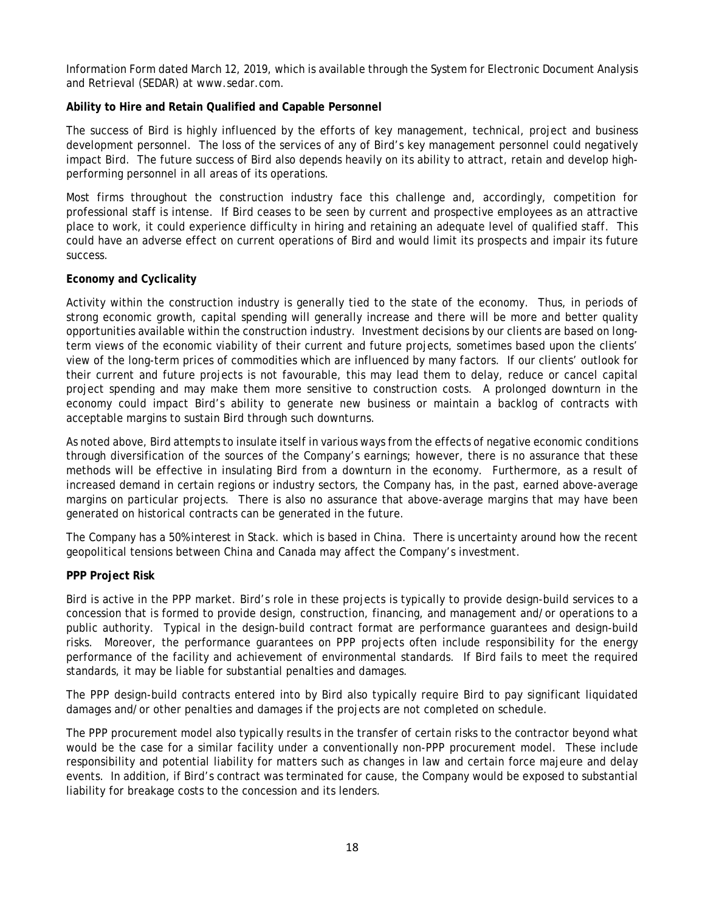Information Form dated March 12, 2019, which is available through the System for Electronic Document Analysis and Retrieval (SEDAR) at www.sedar.com.

### **Ability to Hire and Retain Qualified and Capable Personnel**

The success of Bird is highly influenced by the efforts of key management, technical, project and business development personnel. The loss of the services of any of Bird's key management personnel could negatively impact Bird. The future success of Bird also depends heavily on its ability to attract, retain and develop highperforming personnel in all areas of its operations.

Most firms throughout the construction industry face this challenge and, accordingly, competition for professional staff is intense. If Bird ceases to be seen by current and prospective employees as an attractive place to work, it could experience difficulty in hiring and retaining an adequate level of qualified staff. This could have an adverse effect on current operations of Bird and would limit its prospects and impair its future success.

### **Economy and Cyclicality**

Activity within the construction industry is generally tied to the state of the economy. Thus, in periods of strong economic growth, capital spending will generally increase and there will be more and better quality opportunities available within the construction industry. Investment decisions by our clients are based on longterm views of the economic viability of their current and future projects, sometimes based upon the clients' view of the long-term prices of commodities which are influenced by many factors. If our clients' outlook for their current and future projects is not favourable, this may lead them to delay, reduce or cancel capital project spending and may make them more sensitive to construction costs. A prolonged downturn in the economy could impact Bird's ability to generate new business or maintain a backlog of contracts with acceptable margins to sustain Bird through such downturns.

As noted above, Bird attempts to insulate itself in various ways from the effects of negative economic conditions through diversification of the sources of the Company's earnings; however, there is no assurance that these methods will be effective in insulating Bird from a downturn in the economy. Furthermore, as a result of increased demand in certain regions or industry sectors, the Company has, in the past, earned above-average margins on particular projects. There is also no assurance that above-average margins that may have been generated on historical contracts can be generated in the future.

The Company has a 50% interest in Stack. which is based in China. There is uncertainty around how the recent geopolitical tensions between China and Canada may affect the Company's investment.

#### **PPP Project Risk**

Bird is active in the PPP market. Bird's role in these projects is typically to provide design-build services to a concession that is formed to provide design, construction, financing, and management and/or operations to a public authority. Typical in the design-build contract format are performance guarantees and design-build risks. Moreover, the performance guarantees on PPP projects often include responsibility for the energy performance of the facility and achievement of environmental standards. If Bird fails to meet the required standards, it may be liable for substantial penalties and damages.

The PPP design-build contracts entered into by Bird also typically require Bird to pay significant liquidated damages and/or other penalties and damages if the projects are not completed on schedule.

The PPP procurement model also typically results in the transfer of certain risks to the contractor beyond what would be the case for a similar facility under a conventionally non-PPP procurement model. These include responsibility and potential liability for matters such as changes in law and certain force majeure and delay events. In addition, if Bird's contract was terminated for cause, the Company would be exposed to substantial liability for breakage costs to the concession and its lenders.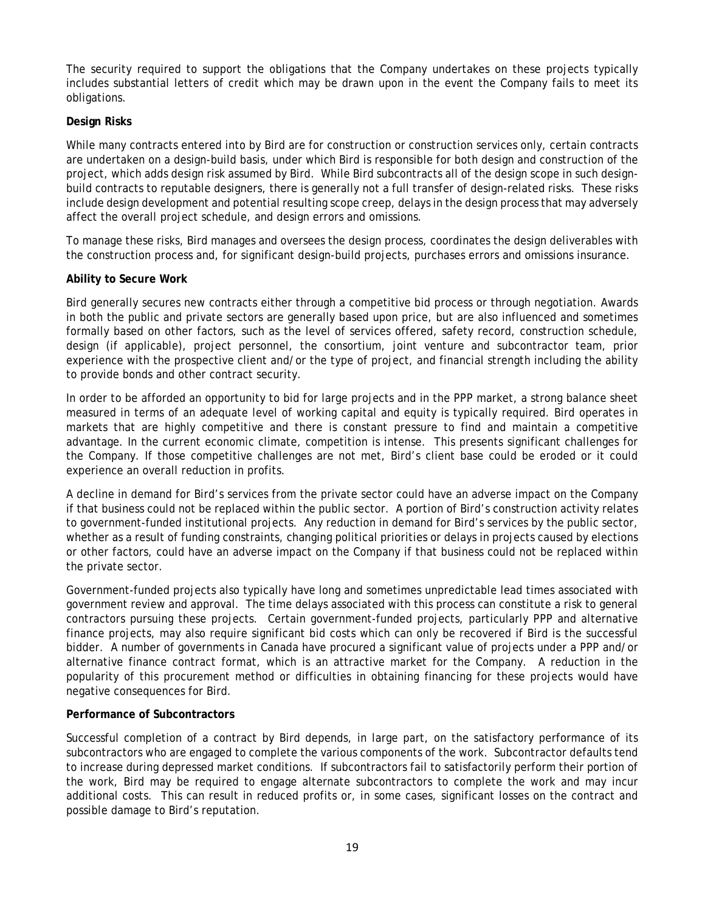The security required to support the obligations that the Company undertakes on these projects typically includes substantial letters of credit which may be drawn upon in the event the Company fails to meet its obligations.

### **Design Risks**

While many contracts entered into by Bird are for construction or construction services only, certain contracts are undertaken on a design-build basis, under which Bird is responsible for both design and construction of the project, which adds design risk assumed by Bird. While Bird subcontracts all of the design scope in such designbuild contracts to reputable designers, there is generally not a full transfer of design-related risks. These risks include design development and potential resulting scope creep, delays in the design process that may adversely affect the overall project schedule, and design errors and omissions.

To manage these risks, Bird manages and oversees the design process, coordinates the design deliverables with the construction process and, for significant design-build projects, purchases errors and omissions insurance.

### **Ability to Secure Work**

Bird generally secures new contracts either through a competitive bid process or through negotiation. Awards in both the public and private sectors are generally based upon price, but are also influenced and sometimes formally based on other factors, such as the level of services offered, safety record, construction schedule, design (if applicable), project personnel, the consortium, joint venture and subcontractor team, prior experience with the prospective client and/or the type of project, and financial strength including the ability to provide bonds and other contract security.

In order to be afforded an opportunity to bid for large projects and in the PPP market, a strong balance sheet measured in terms of an adequate level of working capital and equity is typically required. Bird operates in markets that are highly competitive and there is constant pressure to find and maintain a competitive advantage. In the current economic climate, competition is intense. This presents significant challenges for the Company. If those competitive challenges are not met, Bird's client base could be eroded or it could experience an overall reduction in profits.

A decline in demand for Bird's services from the private sector could have an adverse impact on the Company if that business could not be replaced within the public sector. A portion of Bird's construction activity relates to government-funded institutional projects. Any reduction in demand for Bird's services by the public sector, whether as a result of funding constraints, changing political priorities or delays in projects caused by elections or other factors, could have an adverse impact on the Company if that business could not be replaced within the private sector.

Government-funded projects also typically have long and sometimes unpredictable lead times associated with government review and approval. The time delays associated with this process can constitute a risk to general contractors pursuing these projects. Certain government-funded projects, particularly PPP and alternative finance projects, may also require significant bid costs which can only be recovered if Bird is the successful bidder. A number of governments in Canada have procured a significant value of projects under a PPP and/or alternative finance contract format, which is an attractive market for the Company. A reduction in the popularity of this procurement method or difficulties in obtaining financing for these projects would have negative consequences for Bird.

#### **Performance of Subcontractors**

Successful completion of a contract by Bird depends, in large part, on the satisfactory performance of its subcontractors who are engaged to complete the various components of the work. Subcontractor defaults tend to increase during depressed market conditions. If subcontractors fail to satisfactorily perform their portion of the work, Bird may be required to engage alternate subcontractors to complete the work and may incur additional costs. This can result in reduced profits or, in some cases, significant losses on the contract and possible damage to Bird's reputation.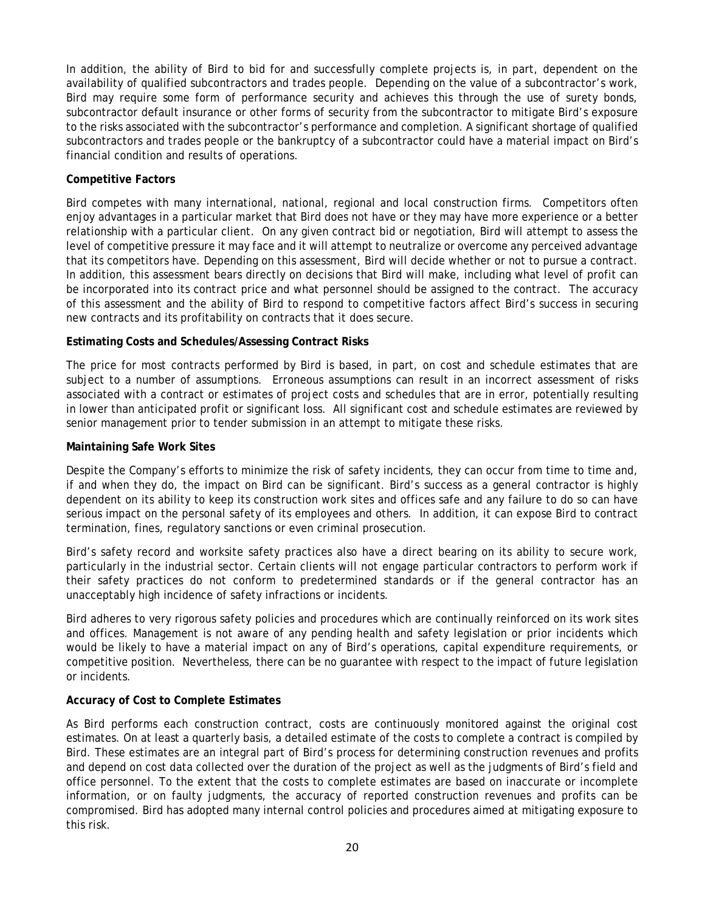In addition, the ability of Bird to bid for and successfully complete projects is, in part, dependent on the availability of qualified subcontractors and trades people. Depending on the value of a subcontractor's work, Bird may require some form of performance security and achieves this through the use of surety bonds, subcontractor default insurance or other forms of security from the subcontractor to mitigate Bird's exposure to the risks associated with the subcontractor's performance and completion. A significant shortage of qualified subcontractors and trades people or the bankruptcy of a subcontractor could have a material impact on Bird's financial condition and results of operations.

### **Competitive Factors**

Bird competes with many international, national, regional and local construction firms. Competitors often enjoy advantages in a particular market that Bird does not have or they may have more experience or a better relationship with a particular client. On any given contract bid or negotiation, Bird will attempt to assess the level of competitive pressure it may face and it will attempt to neutralize or overcome any perceived advantage that its competitors have. Depending on this assessment, Bird will decide whether or not to pursue a contract. In addition, this assessment bears directly on decisions that Bird will make, including what level of profit can be incorporated into its contract price and what personnel should be assigned to the contract. The accuracy of this assessment and the ability of Bird to respond to competitive factors affect Bird's success in securing new contracts and its profitability on contracts that it does secure.

## **Estimating Costs and Schedules/Assessing Contract Risks**

The price for most contracts performed by Bird is based, in part, on cost and schedule estimates that are subject to a number of assumptions. Erroneous assumptions can result in an incorrect assessment of risks associated with a contract or estimates of project costs and schedules that are in error, potentially resulting in lower than anticipated profit or significant loss. All significant cost and schedule estimates are reviewed by senior management prior to tender submission in an attempt to mitigate these risks.

### **Maintaining Safe Work Sites**

Despite the Company's efforts to minimize the risk of safety incidents, they can occur from time to time and, if and when they do, the impact on Bird can be significant. Bird's success as a general contractor is highly dependent on its ability to keep its construction work sites and offices safe and any failure to do so can have serious impact on the personal safety of its employees and others. In addition, it can expose Bird to contract termination, fines, regulatory sanctions or even criminal prosecution.

Bird's safety record and worksite safety practices also have a direct bearing on its ability to secure work, particularly in the industrial sector. Certain clients will not engage particular contractors to perform work if their safety practices do not conform to predetermined standards or if the general contractor has an unacceptably high incidence of safety infractions or incidents.

Bird adheres to very rigorous safety policies and procedures which are continually reinforced on its work sites and offices. Management is not aware of any pending health and safety legislation or prior incidents which would be likely to have a material impact on any of Bird's operations, capital expenditure requirements, or competitive position. Nevertheless, there can be no guarantee with respect to the impact of future legislation or incidents.

### **Accuracy of Cost to Complete Estimates**

As Bird performs each construction contract, costs are continuously monitored against the original cost estimates. On at least a quarterly basis, a detailed estimate of the costs to complete a contract is compiled by Bird. These estimates are an integral part of Bird's process for determining construction revenues and profits and depend on cost data collected over the duration of the project as well as the judgments of Bird's field and office personnel. To the extent that the costs to complete estimates are based on inaccurate or incomplete information, or on faulty judgments, the accuracy of reported construction revenues and profits can be compromised. Bird has adopted many internal control policies and procedures aimed at mitigating exposure to this risk.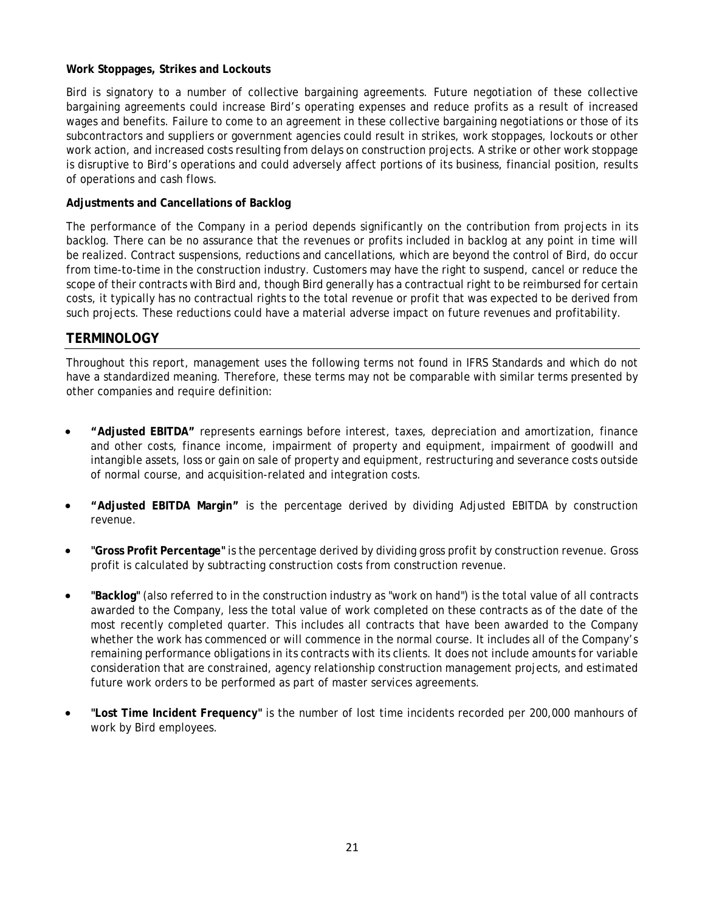### **Work Stoppages, Strikes and Lockouts**

Bird is signatory to a number of collective bargaining agreements. Future negotiation of these collective bargaining agreements could increase Bird's operating expenses and reduce profits as a result of increased wages and benefits. Failure to come to an agreement in these collective bargaining negotiations or those of its subcontractors and suppliers or government agencies could result in strikes, work stoppages, lockouts or other work action, and increased costs resulting from delays on construction projects. A strike or other work stoppage is disruptive to Bird's operations and could adversely affect portions of its business, financial position, results of operations and cash flows.

### **Adjustments and Cancellations of Backlog**

The performance of the Company in a period depends significantly on the contribution from projects in its backlog. There can be no assurance that the revenues or profits included in backlog at any point in time will be realized. Contract suspensions, reductions and cancellations, which are beyond the control of Bird, do occur from time-to-time in the construction industry. Customers may have the right to suspend, cancel or reduce the scope of their contracts with Bird and, though Bird generally has a contractual right to be reimbursed for certain costs, it typically has no contractual rights to the total revenue or profit that was expected to be derived from such projects. These reductions could have a material adverse impact on future revenues and profitability.

## **TERMINOLOGY**

Throughout this report, management uses the following terms not found in IFRS Standards and which do not have a standardized meaning. Therefore, these terms may not be comparable with similar terms presented by other companies and require definition:

- **"Adjusted EBITDA"** represents earnings before interest, taxes, depreciation and amortization, finance and other costs, finance income, impairment of property and equipment, impairment of goodwill and intangible assets, loss or gain on sale of property and equipment, restructuring and severance costs outside of normal course, and acquisition-related and integration costs.
- **"Adjusted EBITDA Margin"** is the percentage derived by dividing Adjusted EBITDA by construction revenue.
- **"Gross Profit Percentage"** is the percentage derived by dividing gross profit by construction revenue. Gross profit is calculated by subtracting construction costs from construction revenue.
- **"Backlog"** (also referred to in the construction industry as "work on hand") is the total value of all contracts awarded to the Company, less the total value of work completed on these contracts as of the date of the most recently completed quarter. This includes all contracts that have been awarded to the Company whether the work has commenced or will commence in the normal course. It includes all of the Company's remaining performance obligations in its contracts with its clients. It does not include amounts for variable consideration that are constrained, agency relationship construction management projects, and estimated future work orders to be performed as part of master services agreements.
- **"Lost Time Incident Frequency"** is the number of lost time incidents recorded per 200,000 manhours of work by Bird employees.